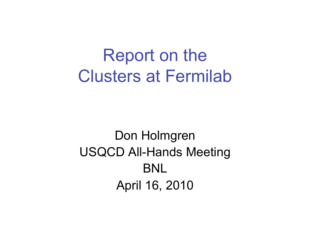# Report on the Clusters at Fermilab

### Don Holmgren USQCD All-Hands Meeting BNL April 16, 2010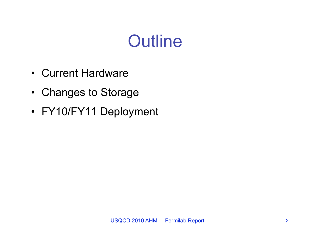# **Outline**

- Current Hardware
- Changes to Storage
- FY10/FY11 Deployment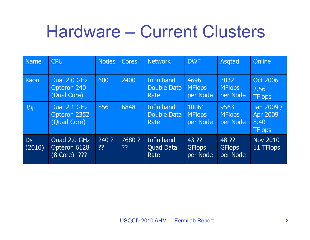# Hardware – Current Clusters

| <b>Name</b>         | <b>CPU</b>                                   | <b>Nodes</b> | <b>Cores</b> | <b>Network</b>                         | <b>DWF</b>                         | <b>Asgtad</b>                      | Online                                          |
|---------------------|----------------------------------------------|--------------|--------------|----------------------------------------|------------------------------------|------------------------------------|-------------------------------------------------|
| Kaon                | Dual 2.0 GHz<br>Opteron 240<br>(Dual Core)   | 600          | 2400         | Infiniband<br>Double Data<br>Rate      | 4696<br><b>MFlops</b><br>per Node  | 3832<br><b>MFlops</b><br>per Node  | <b>Oct 2006</b><br>2.56<br><b>TFlops</b>        |
| $J/\psi$            | Dual 2.1 GHz<br>Opteron 2352<br>(Quad Core)  | 856          | 6848         | Infiniband<br>Double Data<br>Rate      | 10061<br><b>MFlops</b><br>per Node | 9563<br><b>MFlops</b><br>per Node  | Jan 2009 /<br>Apr 2009<br>8.40<br><b>TFlops</b> |
| <b>Ds</b><br>(2010) | Quad 2.0 GHz<br>Opteron 6128<br>(8 Core) ??? | 240 ?<br>??  | 7680 ?<br>?? | Infiniband<br><b>Quad Data</b><br>Rate | 43 ??<br><b>GFlops</b><br>per Node | 48 ??<br><b>GFlops</b><br>per Node | <b>Nov 2010</b><br>11 TFlops                    |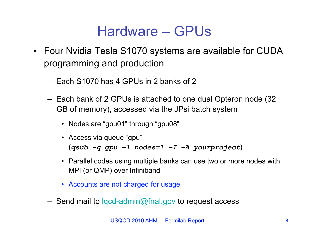### Hardware – GPUs

- Four Nvidia Tesla S1070 systems are available for CUDA programming and production
	- Each S1070 has 4 GPUs in 2 banks of 2
	- Each bank of 2 GPUs is attached to one dual Opteron node (32 GB of memory), accessed via the JPsi batch system
		- Nodes are "gpu01" through "gpu08"
		- Access via queue "gpu" (*qsub –q gpu –l nodes=1 –I –A yourproject*)
		- Parallel codes using multiple banks can use two or more nodes with MPI (or QMP) over Infiniband
		- Accounts are not charged for usage
	- Send mail to  $qcd$ -admin@fnal.gov to request access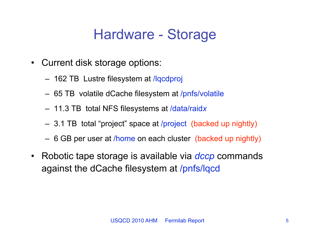### Hardware - Storage

- Current disk storage options:
	- 162 TB Lustre filesystem at /lqcdproj
	- 65 TB volatile dCache filesystem at /pnfs/volatile
	- 11.3 TB total NFS filesystems at /data/raid*x*
	- 3.1 TB total "project" space at /project (backed up nightly)
	- 6 GB per user at /home on each cluster (backed up nightly)
- Robotic tape storage is available via *dccp* commands against the dCache filesystem at /pnfs/lqcd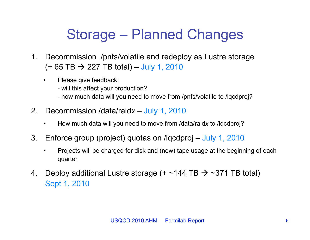## Storage – Planned Changes

- 1. Decommission /pnfs/volatile and redeploy as Lustre storage  $(+ 65 TB \rightarrow 227 TB total) - July 1, 2010$ 
	- Please give feedback:
		- will this affect your production?
		- how much data will you need to move from /pnfs/volatile to /lqcdproj?
- 2. Decommission /data/raid*x* July 1, 2010
	- How much data will you need to move from /data/raid*x* to /lqcdproj?
- 3. Enforce group (project) quotas on /lqcdproj July 1, 2010
	- Projects will be charged for disk and (new) tape usage at the beginning of each quarter
- 4. Deploy additional Lustre storage  $(+ \sim 144 \text{ TB} \rightarrow \sim 371 \text{ TB}$  total) Sept 1, 2010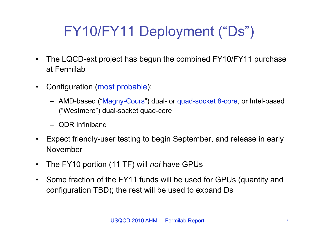## FY10/FY11 Deployment ("Ds")

- The LQCD-ext project has begun the combined FY10/FY11 purchase at Fermilab
- Configuration (most probable):
	- AMD-based ("Magny-Cours") dual- or quad-socket 8-core, or Intel-based ("Westmere") dual-socket quad-core
	- QDR Infiniband
- Expect friendly-user testing to begin September, and release in early November
- The FY10 portion (11 TF) will *not* have GPUs
- Some fraction of the FY11 funds will be used for GPUs (quantity and configuration TBD); the rest will be used to expand Ds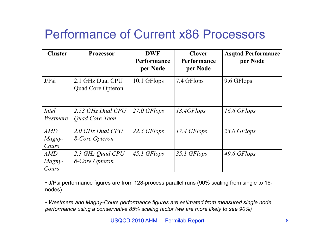#### Performance of Current x86 Processors

| <b>Cluster</b>         | <b>Processor</b>                             | <b>DWF</b><br><b>Performance</b><br>per Node | <b>Clover</b><br><b>Performance</b><br>per Node | <b>Asqtad Performance</b><br>per Node |
|------------------------|----------------------------------------------|----------------------------------------------|-------------------------------------------------|---------------------------------------|
| J/Psi                  | 2.1 GHz Dual CPU<br><b>Quad Core Opteron</b> | 10.1 GFlops                                  | 7.4 GFlops                                      | 9.6 GFlops                            |
| Intel<br>Westmere      | 2.53 GHz Dual CPU<br>Quad Core Xeon          | $27.0$ GFlops                                | 13.4GFlops                                      | 16.6 GFlops                           |
| AMD<br>Magny-<br>Cours | 2.0 GHz Dual CPU<br>8-Core Opteron           | 22.3 GFlops                                  | 17.4 GFlops                                     | $23.0$ GFlops                         |
| AMD<br>Magny-<br>Cours | 2.3 GHz Quad CPU<br>8-Core Opteron           | 45.1 GFlops                                  | 35.1 GFlops                                     | 49.6 GFlops                           |

• J/Psi performance figures are from 128-process parallel runs (90% scaling from single to 16 nodes)

• *Westmere and Magny-Cours performance figures are estimated from measured single node performance using a conservative 85% scaling factor (we are more likely to see 90%)*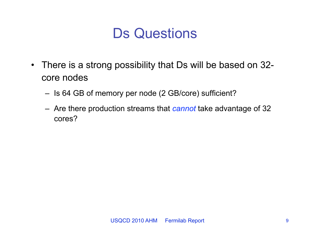### Ds Questions

- There is a strong possibility that Ds will be based on 32 core nodes
	- Is 64 GB of memory per node (2 GB/core) sufficient?
	- Are there production streams that *cannot* take advantage of 32 cores?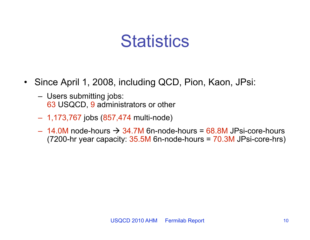## **Statistics**

- Since April 1, 2008, including QCD, Pion, Kaon, JPsi:
	- Users submitting jobs: 63 USQCD, 9 administrators or other
	- 1,173,767 jobs (857,474 multi-node)
	- $-$  14.0M node-hours  $\rightarrow$  34.7M 6n-node-hours = 68.8M JPsi-core-hours (7200-hr year capacity: 35.5M 6n-node-hours = 70.3M JPsi-core-hrs)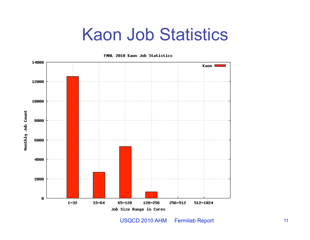## Kaon Job Statistics



USQCD 2010 AHM Fermilab Report 11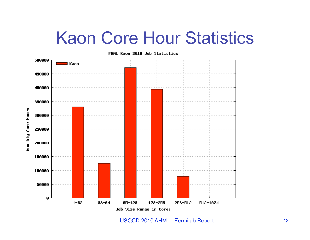## Kaon Core Hour Statistics



FNAL Kaon 2010 Job Statistics

USQCD 2010 AHM Fermilab Report 12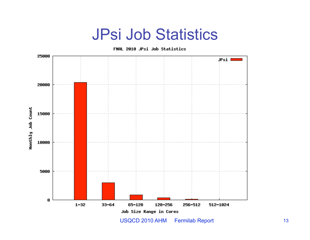## JPsi Job Statistics



USQCD 2010 AHM Fermilab Report 13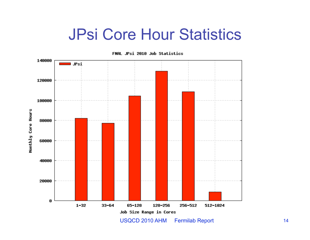## JPsi Core Hour Statistics



USQCD 2010 AHM Fermilab Report 14